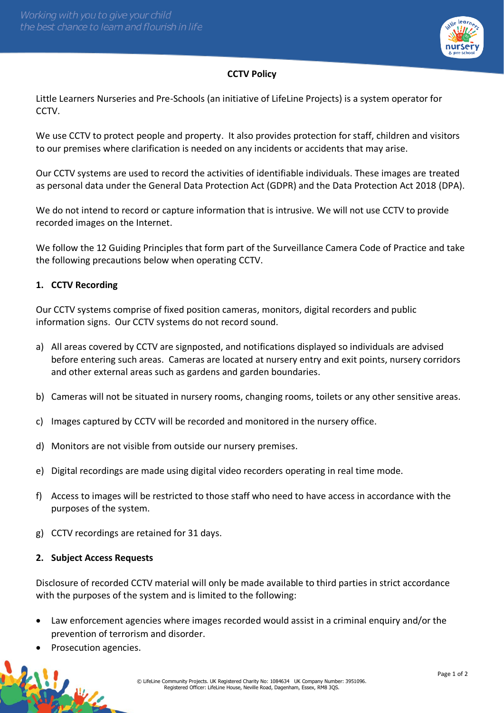

# **CCTV Policy**

Little Learners Nurseries and Pre-Schools (an initiative of LifeLine Projects) is a system operator for CCTV.

We use CCTV to protect people and property. It also provides protection for staff, children and visitors to our premises where clarification is needed on any incidents or accidents that may arise.

Our CCTV systems are used to record the activities of identifiable individuals. These images are treated as personal data under the General Data Protection Act (GDPR) and the Data Protection Act 2018 (DPA).

We do not intend to record or capture information that is intrusive. We will not use CCTV to provide recorded images on the Internet.

We follow the 12 Guiding Principles that form part of the Surveillance Camera Code of Practice and take the following precautions below when operating CCTV.

## **1. CCTV Recording**

Our CCTV systems comprise of fixed position cameras, monitors, digital recorders and public information signs. Our CCTV systems do not record sound.

- a) All areas covered by CCTV are signposted, and notifications displayed so individuals are advised before entering such areas. Cameras are located at nursery entry and exit points, nursery corridors and other external areas such as gardens and garden boundaries.
- b) Cameras will not be situated in nursery rooms, changing rooms, toilets or any other sensitive areas.
- c) Images captured by CCTV will be recorded and monitored in the nursery office.
- d) Monitors are not visible from outside our nursery premises.
- e) Digital recordings are made using digital video recorders operating in real time mode.
- f) Access to images will be restricted to those staff who need to have access in accordance with the purposes of the system.
- g) CCTV recordings are retained for 31 days.

### **2. Subject Access Requests**

Disclosure of recorded CCTV material will only be made available to third parties in strict accordance with the purposes of the system and is limited to the following:

- Law enforcement agencies where images recorded would assist in a criminal enquiry and/or the prevention of terrorism and disorder.
- Prosecution agencies.

传说